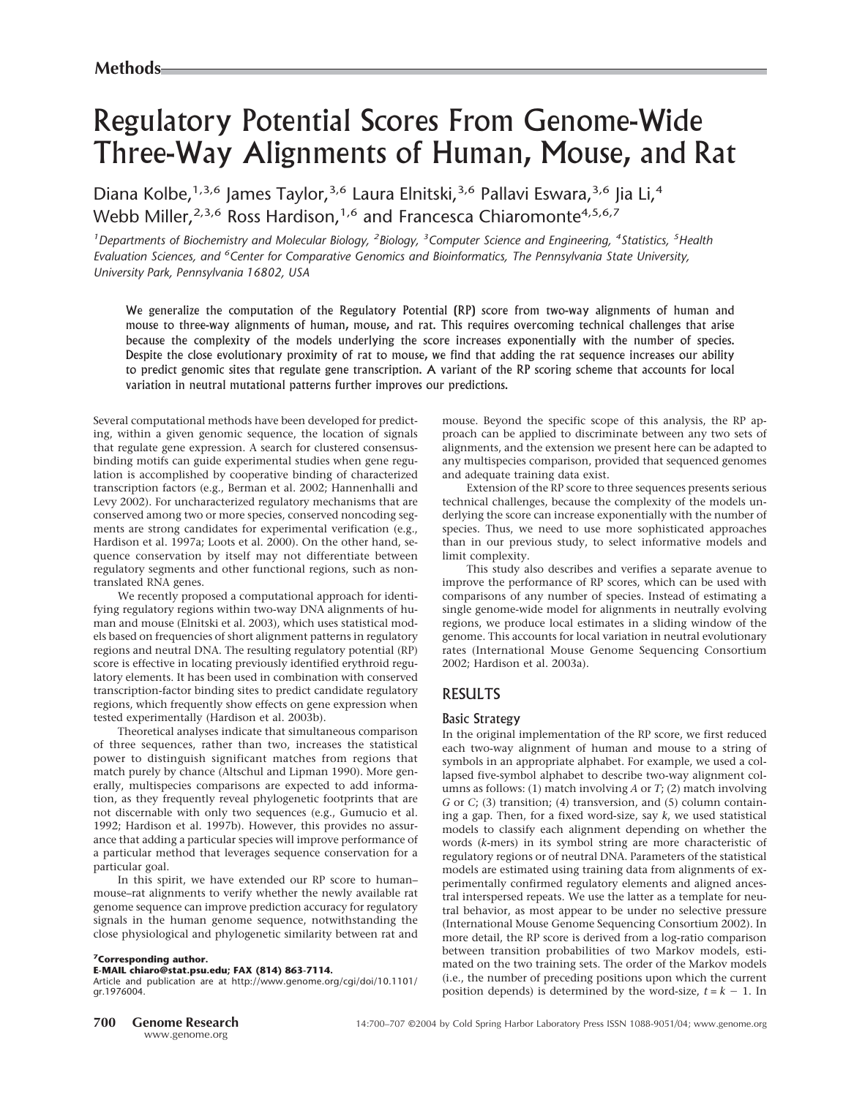# Regulatory Potential Scores From Genome-Wide Three-Way Alignments of Human, Mouse, and Rat

Diana Kolbe,<sup>1,3,6</sup> James Taylor,<sup>3,6</sup> Laura Elnitski,<sup>3,6</sup> Pallavi Eswara,<sup>3,6</sup> Jia Li,<sup>4</sup> Webb Miller,<sup>2,3,6</sup> Ross Hardison,<sup>1,6</sup> and Francesca Chiaromonte<sup>4,5,6,7</sup>

*1 Departments of Biochemistry and Molecular Biology, <sup>2</sup> Biology, <sup>3</sup> Computer Science and Engineering, <sup>4</sup> Statistics, <sup>5</sup> Health Evaluation Sciences, and <sup>6</sup> Center for Comparative Genomics and Bioinformatics, The Pennsylvania State University, University Park, Pennsylvania 16802, USA*

We generalize the computation of the Regulatory Potential (RP) score from two-way alignments of human and mouse to three-way alignments of human, mouse, and rat. This requires overcoming technical challenges that arise because the complexity of the models underlying the score increases exponentially with the number of species. Despite the close evolutionary proximity of rat to mouse, we find that adding the rat sequence increases our ability to predict genomic sites that regulate gene transcription. A variant of the RP scoring scheme that accounts for local variation in neutral mutational patterns further improves our predictions.

Several computational methods have been developed for predicting, within a given genomic sequence, the location of signals that regulate gene expression. A search for clustered consensusbinding motifs can guide experimental studies when gene regulation is accomplished by cooperative binding of characterized transcription factors (e.g., Berman et al. 2002; Hannenhalli and Levy 2002). For uncharacterized regulatory mechanisms that are conserved among two or more species, conserved noncoding segments are strong candidates for experimental verification (e.g., Hardison et al. 1997a; Loots et al. 2000). On the other hand, sequence conservation by itself may not differentiate between regulatory segments and other functional regions, such as nontranslated RNA genes.

We recently proposed a computational approach for identifying regulatory regions within two-way DNA alignments of human and mouse (Elnitski et al. 2003), which uses statistical models based on frequencies of short alignment patterns in regulatory regions and neutral DNA. The resulting regulatory potential (RP) score is effective in locating previously identified erythroid regulatory elements. It has been used in combination with conserved transcription-factor binding sites to predict candidate regulatory regions, which frequently show effects on gene expression when tested experimentally (Hardison et al. 2003b).

Theoretical analyses indicate that simultaneous comparison of three sequences, rather than two, increases the statistical power to distinguish significant matches from regions that match purely by chance (Altschul and Lipman 1990). More generally, multispecies comparisons are expected to add information, as they frequently reveal phylogenetic footprints that are not discernable with only two sequences (e.g., Gumucio et al. 1992; Hardison et al. 1997b). However, this provides no assurance that adding a particular species will improve performance of a particular method that leverages sequence conservation for a particular goal.

In this spirit, we have extended our RP score to human– mouse–rat alignments to verify whether the newly available rat genome sequence can improve prediction accuracy for regulatory signals in the human genome sequence, notwithstanding the close physiological and phylogenetic similarity between rat and

## **7Corresponding author.**

**E-MAIL chiaro@stat.psu.edu; FAX (814) 863-7114.**

Article and publication are at http://www.genome.org/cgi/doi/10.1101/ gr.1976004.

mouse. Beyond the specific scope of this analysis, the RP approach can be applied to discriminate between any two sets of alignments, and the extension we present here can be adapted to any multispecies comparison, provided that sequenced genomes and adequate training data exist.

Extension of the RP score to three sequences presents serious technical challenges, because the complexity of the models underlying the score can increase exponentially with the number of species. Thus, we need to use more sophisticated approaches than in our previous study, to select informative models and limit complexity.

This study also describes and verifies a separate avenue to improve the performance of RP scores, which can be used with comparisons of any number of species. Instead of estimating a single genome-wide model for alignments in neutrally evolving regions, we produce local estimates in a sliding window of the genome. This accounts for local variation in neutral evolutionary rates (International Mouse Genome Sequencing Consortium 2002; Hardison et al. 2003a).

# RESULTS

## Basic Strategy

In the original implementation of the RP score, we first reduced each two-way alignment of human and mouse to a string of symbols in an appropriate alphabet. For example, we used a collapsed five-symbol alphabet to describe two-way alignment columns as follows: (1) match involving *A* or *T*; (2) match involving *G* or *C*; (3) transition; (4) transversion, and (5) column containing a gap. Then, for a fixed word-size, say *k*, we used statistical models to classify each alignment depending on whether the words (*k*-mers) in its symbol string are more characteristic of regulatory regions or of neutral DNA. Parameters of the statistical models are estimated using training data from alignments of experimentally confirmed regulatory elements and aligned ancestral interspersed repeats. We use the latter as a template for neutral behavior, as most appear to be under no selective pressure (International Mouse Genome Sequencing Consortium 2002). In more detail, the RP score is derived from a log-ratio comparison between transition probabilities of two Markov models, estimated on the two training sets. The order of the Markov models (i.e., the number of preceding positions upon which the current position depends) is determined by the word-size,  $t = k - 1$ . In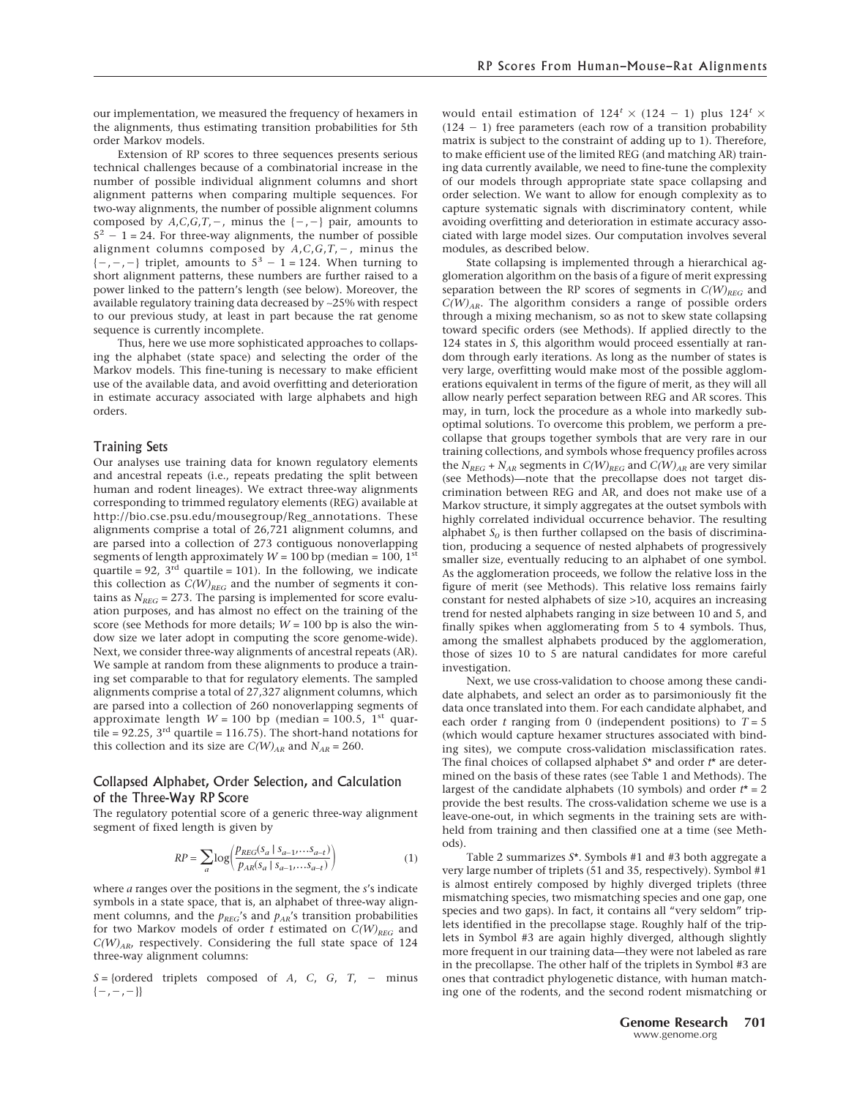our implementation, we measured the frequency of hexamers in the alignments, thus estimating transition probabilities for 5th order Markov models.

Extension of RP scores to three sequences presents serious technical challenges because of a combinatorial increase in the number of possible individual alignment columns and short alignment patterns when comparing multiple sequences. For two-way alignments, the number of possible alignment columns composed by  $A, C, G, T, -$ , minus the  $\{-, -\}$  pair, amounts to  $5^2$  – 1 = 24. For three-way alignments, the number of possible alignment columns composed by  $A$ , $C$ , $G$ , $T$ , $-$ , minus the  $\{-,-,-\}$  triplet, amounts to  $5^3 - 1 = 124$ . When turning to short alignment patterns, these numbers are further raised to a power linked to the pattern's length (see below). Moreover, the available regulatory training data decreased by ∼25% with respect to our previous study, at least in part because the rat genome sequence is currently incomplete.

Thus, here we use more sophisticated approaches to collapsing the alphabet (state space) and selecting the order of the Markov models. This fine-tuning is necessary to make efficient use of the available data, and avoid overfitting and deterioration in estimate accuracy associated with large alphabets and high orders.

#### Training Sets

Our analyses use training data for known regulatory elements and ancestral repeats (i.e., repeats predating the split between human and rodent lineages). We extract three-way alignments corresponding to trimmed regulatory elements (REG) available at http://bio.cse.psu.edu/mousegroup/Reg\_annotations. These alignments comprise a total of 26,721 alignment columns, and are parsed into a collection of 273 contiguous nonoverlapping segments of length approximately  $W = 100$  bp (median = 100, 1<sup>st</sup>) quartile = 92,  $3<sup>rd</sup>$  quartile = 101). In the following, we indicate this collection as  $C(W)_{REG}$  and the number of segments it contains as  $N_{REG}$  = 273. The parsing is implemented for score evaluation purposes, and has almost no effect on the training of the score (see Methods for more details; *W* = 100 bp is also the window size we later adopt in computing the score genome-wide). Next, we consider three-way alignments of ancestral repeats (AR). We sample at random from these alignments to produce a training set comparable to that for regulatory elements. The sampled alignments comprise a total of 27,327 alignment columns, which are parsed into a collection of 260 nonoverlapping segments of approximate length  $W = 100$  bp (median = 100.5, 1<sup>st</sup> quartile =  $92.25$ ,  $3<sup>rd</sup>$  quartile = 116.75). The short-hand notations for this collection and its size are  $C(W)_{AR}$  and  $N_{AR} = 260$ .

# Collapsed Alphabet, Order Selection, and Calculation of the Three-Way RP Score

The regulatory potential score of a generic three-way alignment segment of fixed length is given by

$$
RP = \sum_{a} \log \left( \frac{p_{REG}(s_a \mid s_{a-1}, \dots s_{a-t})}{p_{AR}(s_a \mid s_{a-1}, \dots s_{a-t})} \right) \tag{1}
$$

where *a* ranges over the positions in the segment, the *s*'s indicate symbols in a state space, that is, an alphabet of three-way alignment columns, and the  $p_{REG}$ 's and  $p_{AR}$ 's transition probabilities for two Markov models of order *t* estimated on  $C(W)_{REG}$  and *C(W)AR*, respectively. Considering the full state space of 124 three-way alignment columns:

 $S =$ {ordered triplets composed of *A*, *C*, *G*, *T*, – minus  $\{-,-,-\}$ 

would entail estimation of  $124^t \times (124 - 1)$  plus  $124^t \times$  $(124 - 1)$  free parameters (each row of a transition probability matrix is subject to the constraint of adding up to 1). Therefore, to make efficient use of the limited REG (and matching AR) training data currently available, we need to fine-tune the complexity of our models through appropriate state space collapsing and order selection. We want to allow for enough complexity as to capture systematic signals with discriminatory content, while avoiding overfitting and deterioration in estimate accuracy associated with large model sizes. Our computation involves several modules, as described below.

State collapsing is implemented through a hierarchical agglomeration algorithm on the basis of a figure of merit expressing separation between the RP scores of segments in  $C(W)_{REG}$  and  $C(W)_{AR}$ . The algorithm considers a range of possible orders through a mixing mechanism, so as not to skew state collapsing toward specific orders (see Methods). If applied directly to the 124 states in *S*, this algorithm would proceed essentially at random through early iterations. As long as the number of states is very large, overfitting would make most of the possible agglomerations equivalent in terms of the figure of merit, as they will all allow nearly perfect separation between REG and AR scores. This may, in turn, lock the procedure as a whole into markedly suboptimal solutions. To overcome this problem, we perform a precollapse that groups together symbols that are very rare in our training collections, and symbols whose frequency profiles across the  $N_{REG}$  +  $N_{AR}$  segments in  $C(W)_{REG}$  and  $C(W)_{AR}$  are very similar (see Methods)—note that the precollapse does not target discrimination between REG and AR, and does not make use of a Markov structure, it simply aggregates at the outset symbols with highly correlated individual occurrence behavior. The resulting alphabet  $S_0$  is then further collapsed on the basis of discrimination, producing a sequence of nested alphabets of progressively smaller size, eventually reducing to an alphabet of one symbol. As the agglomeration proceeds, we follow the relative loss in the figure of merit (see Methods). This relative loss remains fairly constant for nested alphabets of size >10, acquires an increasing trend for nested alphabets ranging in size between 10 and 5, and finally spikes when agglomerating from 5 to 4 symbols. Thus, among the smallest alphabets produced by the agglomeration, those of sizes 10 to 5 are natural candidates for more careful investigation.

Next, we use cross-validation to choose among these candidate alphabets, and select an order as to parsimoniously fit the data once translated into them. For each candidate alphabet, and each order *t* ranging from 0 (independent positions) to  $T = 5$ (which would capture hexamer structures associated with binding sites), we compute cross-validation misclassification rates. The final choices of collapsed alphabet *S*\* and order *t*\* are determined on the basis of these rates (see Table 1 and Methods). The largest of the candidate alphabets (10 symbols) and order *t*\*=2 provide the best results. The cross-validation scheme we use is a leave-one-out, in which segments in the training sets are withheld from training and then classified one at a time (see Methods).

Table 2 summarizes *S*\*. Symbols #1 and #3 both aggregate a very large number of triplets (51 and 35, respectively). Symbol #1 is almost entirely composed by highly diverged triplets (three mismatching species, two mismatching species and one gap, one species and two gaps). In fact, it contains all "very seldom" triplets identified in the precollapse stage. Roughly half of the triplets in Symbol #3 are again highly diverged, although slightly more frequent in our training data—they were not labeled as rare in the precollapse. The other half of the triplets in Symbol #3 are ones that contradict phylogenetic distance, with human matching one of the rodents, and the second rodent mismatching or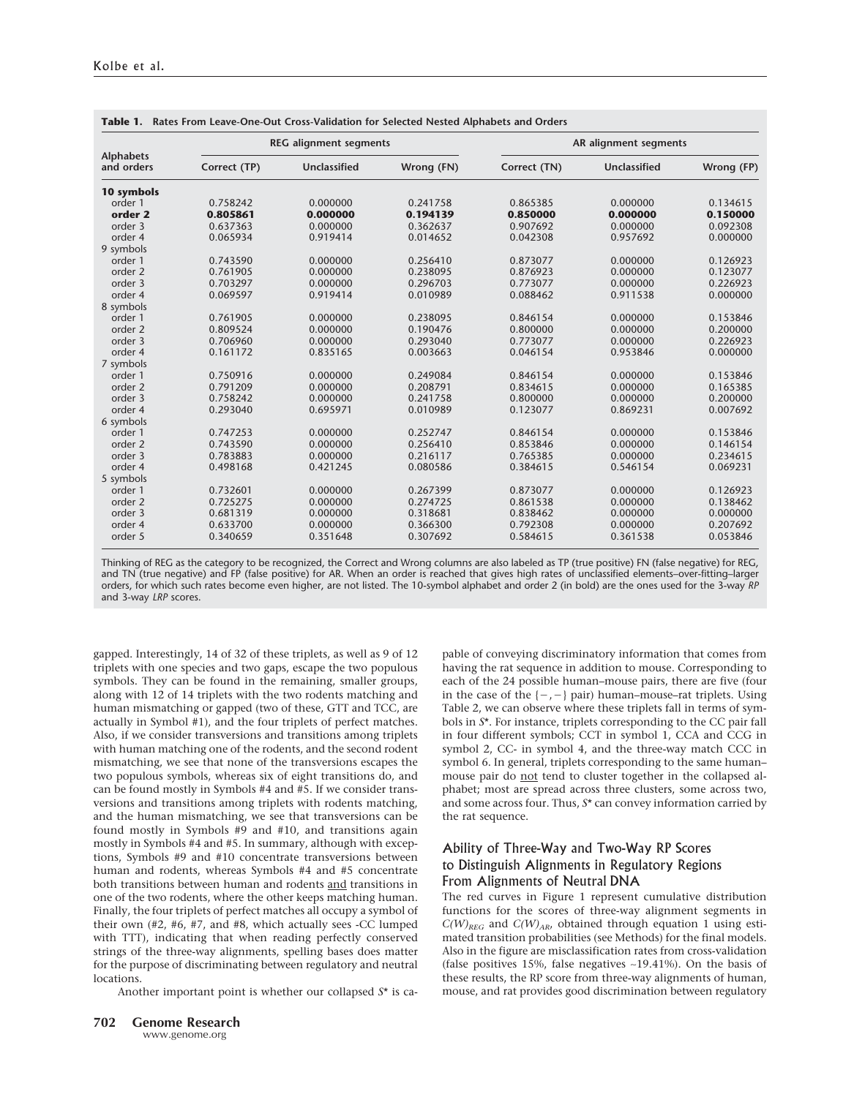|                                |              | <b>REG alignment segments</b> |            | AR alignment segments |                     |            |  |  |
|--------------------------------|--------------|-------------------------------|------------|-----------------------|---------------------|------------|--|--|
| <b>Alphabets</b><br>and orders | Correct (TP) | <b>Unclassified</b>           | Wrong (FN) | Correct (TN)          | <b>Unclassified</b> | Wrong (FP) |  |  |
| 10 symbols                     |              |                               |            |                       |                     |            |  |  |
| order 1                        | 0.758242     | 0.000000                      | 0.241758   | 0.865385              | 0.000000            | 0.134615   |  |  |
| order <sub>2</sub>             | 0.805861     | 0.000000                      | 0.194139   | 0.850000              | 0.000000            | 0.150000   |  |  |
| order 3                        | 0.637363     | 0.000000                      | 0.362637   | 0.907692              | 0.000000            | 0.092308   |  |  |
| order 4                        | 0.065934     | 0.919414                      | 0.014652   | 0.042308              | 0.957692            | 0.000000   |  |  |
| 9 symbols                      |              |                               |            |                       |                     |            |  |  |
| order 1                        | 0.743590     | 0.000000                      | 0.256410   | 0.873077              | 0.000000            | 0.126923   |  |  |
| order 2                        | 0.761905     | 0.000000                      | 0.238095   | 0.876923              | 0.000000            | 0.123077   |  |  |
| order 3                        | 0.703297     | 0.000000                      | 0.296703   | 0.773077              | 0.000000            | 0.226923   |  |  |
| order 4                        | 0.069597     | 0.919414                      | 0.010989   | 0.088462              | 0.911538            | 0.000000   |  |  |
| 8 symbols                      |              |                               |            |                       |                     |            |  |  |
| order 1                        | 0.761905     | 0.000000                      | 0.238095   | 0.846154              | 0.000000            | 0.153846   |  |  |
| order 2                        | 0.809524     | 0.000000                      | 0.190476   | 0.800000              | 0.000000            | 0.200000   |  |  |
| order 3                        | 0.706960     | 0.000000                      | 0.293040   | 0.773077              | 0.000000            | 0.226923   |  |  |
| order 4                        | 0.161172     | 0.835165                      | 0.003663   | 0.046154              | 0.953846            | 0.000000   |  |  |
| 7 symbols                      |              |                               |            |                       |                     |            |  |  |
| order 1                        | 0.750916     | 0.000000                      | 0.249084   | 0.846154              | 0.000000            | 0.153846   |  |  |
| order 2                        | 0.791209     | 0.000000                      | 0.208791   | 0.834615              | 0.000000            | 0.165385   |  |  |
| order 3                        | 0.758242     | 0.000000                      | 0.241758   | 0.800000              | 0.000000            | 0.200000   |  |  |
| order 4                        | 0.293040     | 0.695971                      | 0.010989   | 0.123077              | 0.869231            | 0.007692   |  |  |
| 6 symbols                      |              |                               |            |                       |                     |            |  |  |
| order 1                        | 0.747253     | 0.000000                      | 0.252747   | 0.846154              | 0.000000            | 0.153846   |  |  |
| order 2                        | 0.743590     | 0.000000                      | 0.256410   | 0.853846              | 0.000000            | 0.146154   |  |  |
| order 3                        | 0.783883     | 0.000000                      | 0.216117   | 0.765385              | 0.000000            | 0.234615   |  |  |
| order 4                        | 0.498168     | 0.421245                      | 0.080586   | 0.384615              | 0.546154            | 0.069231   |  |  |
| 5 symbols                      |              |                               |            |                       |                     |            |  |  |
| order 1                        | 0.732601     | 0.000000                      | 0.267399   | 0.873077              | 0.000000            | 0.126923   |  |  |
| order 2                        | 0.725275     | 0.000000                      | 0.274725   | 0.861538              | 0.000000            | 0.138462   |  |  |
| order 3                        | 0.681319     | 0.000000                      | 0.318681   | 0.838462              | 0.000000            | 0.000000   |  |  |
| order 4                        | 0.633700     | 0.000000                      | 0.366300   | 0.792308              | 0.000000            | 0.207692   |  |  |
| order 5                        | 0.340659     | 0.351648                      | 0.307692   | 0.584615              | 0.361538            | 0.053846   |  |  |

| <b>Table 1.</b> Rates From Leave-One-Out Cross-Validation for Selected Nested Alphabets and Orders |
|----------------------------------------------------------------------------------------------------|
|----------------------------------------------------------------------------------------------------|

Thinking of REG as the category to be recognized, the Correct and Wrong columns are also labeled as TP (true positive) FN (false negative) for REG, and TN (true negative) and FP (false positive) for AR. When an order is reached that gives high rates of unclassified elements–over-fitting–larger orders, for which such rates become even higher, are not listed. The 10-symbol alphabet and order 2 (in bold) are the ones used for the 3-way *RP* and 3-way *LRP* scores.

gapped. Interestingly, 14 of 32 of these triplets, as well as 9 of 12 triplets with one species and two gaps, escape the two populous symbols. They can be found in the remaining, smaller groups, along with 12 of 14 triplets with the two rodents matching and human mismatching or gapped (two of these, GTT and TCC, are actually in Symbol #1), and the four triplets of perfect matches. Also, if we consider transversions and transitions among triplets with human matching one of the rodents, and the second rodent mismatching, we see that none of the transversions escapes the two populous symbols, whereas six of eight transitions do, and can be found mostly in Symbols #4 and #5. If we consider transversions and transitions among triplets with rodents matching, and the human mismatching, we see that transversions can be found mostly in Symbols #9 and #10, and transitions again mostly in Symbols #4 and #5. In summary, although with exceptions, Symbols #9 and #10 concentrate transversions between human and rodents, whereas Symbols #4 and #5 concentrate both transitions between human and rodents and transitions in one of the two rodents, where the other keeps matching human. Finally, the four triplets of perfect matches all occupy a symbol of their own (#2, #6, #7, and #8, which actually sees -CC lumped with TTT), indicating that when reading perfectly conserved strings of the three-way alignments, spelling bases does matter for the purpose of discriminating between regulatory and neutral locations.

Another important point is whether our collapsed *S*\* is ca-

pable of conveying discriminatory information that comes from having the rat sequence in addition to mouse. Corresponding to each of the 24 possible human–mouse pairs, there are five (four in the case of the  $\{-,-\}$  pair) human–mouse–rat triplets. Using Table 2, we can observe where these triplets fall in terms of symbols in *S*\*. For instance, triplets corresponding to the CC pair fall in four different symbols; CCT in symbol 1, CCA and CCG in symbol 2, CC- in symbol 4, and the three-way match CCC in symbol 6. In general, triplets corresponding to the same human– mouse pair do not tend to cluster together in the collapsed alphabet; most are spread across three clusters, some across two, and some across four. Thus, *S*\* can convey information carried by the rat sequence.

# Ability of Three-Way and Two-Way RP Scores to Distinguish Alignments in Regulatory Regions From Alignments of Neutral DNA

The red curves in Figure 1 represent cumulative distribution functions for the scores of three-way alignment segments in  $C(W)_{REG}$  and  $C(W)_{AR}$ , obtained through equation 1 using estimated transition probabilities (see Methods) for the final models. Also in the figure are misclassification rates from cross-validation (false positives 15%, false negatives ∼19.41%). On the basis of these results, the RP score from three-way alignments of human, mouse, and rat provides good discrimination between regulatory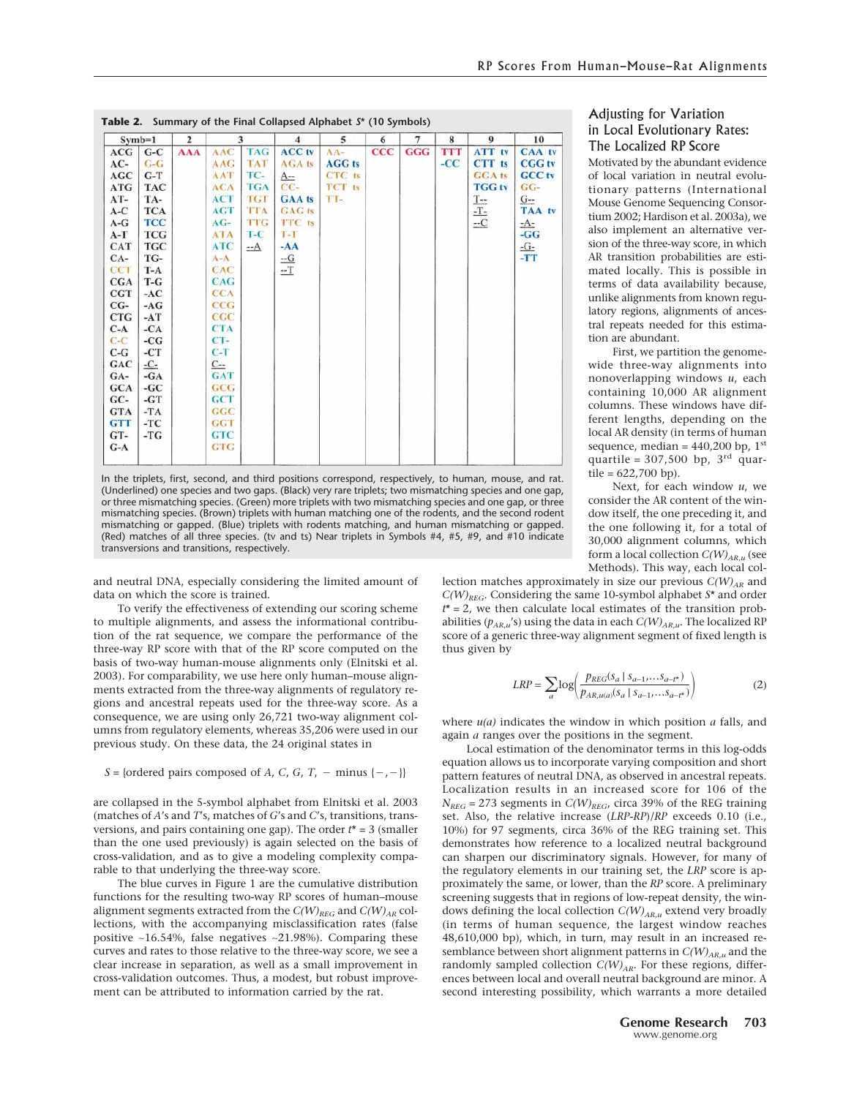| $Symb=1$                                                                                                                                                                                                                                        |                                                                                                                                                                                                                                           | $\overline{2}$ | 3                                                                                                                                                                                                                                                                                         |                                                                                    | $\overline{\mathbf{4}}$                                                                                                                    | 5                                                 | 6          | 7   | 8                   | 9                                                                             | 10                                                                                                               |
|-------------------------------------------------------------------------------------------------------------------------------------------------------------------------------------------------------------------------------------------------|-------------------------------------------------------------------------------------------------------------------------------------------------------------------------------------------------------------------------------------------|----------------|-------------------------------------------------------------------------------------------------------------------------------------------------------------------------------------------------------------------------------------------------------------------------------------------|------------------------------------------------------------------------------------|--------------------------------------------------------------------------------------------------------------------------------------------|---------------------------------------------------|------------|-----|---------------------|-------------------------------------------------------------------------------|------------------------------------------------------------------------------------------------------------------|
| ACG<br>$AC-$<br>AGC<br>ATG<br>$AT-$<br>$A-C$<br>$A-G$<br>$A-T$<br>CAT<br>$CA-$<br><b>CCT</b><br>CGA<br><b>CGT</b><br>$CG-$<br><b>CTG</b><br>$C-A$<br>$C-C$<br>$C-G$<br>GAC<br>$GA-$<br><b>GCA</b><br>$GC-$<br><b>GTA</b><br><b>GTT</b><br>$GT-$ | $G-C$<br>$G-G$<br>$G-T$<br><b>TAC</b><br>TA-<br><b>TCA</b><br><b>TCC</b><br><b>TCG</b><br>TGC<br>TG-<br>$T-A$<br>$T-G$<br>$-AC$<br>$-AG$<br>$-AT$<br>$-CA$<br>$-CG$<br>$-CT$<br>$-C-$<br>$-GA$<br>$-GC$<br>$-GT$<br>$-TA$<br>-TC<br>$-TG$ | <b>AAA</b>     | <b>AAC</b><br><b>AAG</b><br><b>AAT</b><br><b>ACA</b><br><b>ACT</b><br><b>AGT</b><br>$AG-$<br><b>ATA</b><br><b>ATC</b><br>$A - A$<br>CAC<br>CAG<br><b>CCA</b><br>CCG<br>CCC<br><b>CTA</b><br>$CT -$<br>$C-T$<br>$C-$<br><b>GAT</b><br>GCG<br><b>GCT</b><br>GGC<br><b>GGT</b><br><b>GTC</b> | <b>TAG</b><br>TAT<br>TC-<br><b>TGA</b><br>TGT<br>TTA<br><b>TTG</b><br>$T-C$<br>--A | <b>ACC</b> tv<br><b>AGA</b> ts<br>A--<br>$CC-$<br><b>GAA</b> ts<br>GAG <sub>ts</sub><br><b>TTC</b> ts<br>$T-T$<br>$-AA$<br>$\frac{-G}{-T}$ | $AA-$<br><b>AGG ts</b><br>CTC ts<br>TCT ts<br>TT- | <b>CCC</b> | GGG | <b>TTT</b><br>$-CC$ | ATT tv<br>CTT ts<br><b>GGA</b> ts<br><b>TGG tv</b><br>$T-$<br>$\frac{-T}{-C}$ | CAA tv<br><b>CGG tv</b><br><b>GCC tv</b><br>$GG-$<br>$G$ --<br><b>TAA</b> tv<br>$-A-$<br>$-GG$<br>$-G-$<br>$-TT$ |

In the triplets, first, second, and third positions correspond, respectively, to human, mouse, and rat. (Underlined) one species and two gaps. (Black) very rare triplets; two mismatching species and one gap, or three mismatching species. (Green) more triplets with two mismatching species and one gap, or three mismatching species. (Brown) triplets with human matching one of the rodents, and the second rodent mismatching or gapped. (Blue) triplets with rodents matching, and human mismatching or gapped. (Red) matches of all three species. (tv and ts) Near triplets in Symbols #4, #5, #9, and #10 indicate transversions and transitions, respectively.

and neutral DNA, especially considering the limited amount of data on which the score is trained.

To verify the effectiveness of extending our scoring scheme to multiple alignments, and assess the informational contribution of the rat sequence, we compare the performance of the three-way RP score with that of the RP score computed on the basis of two-way human-mouse alignments only (Elnitski et al. 2003). For comparability, we use here only human–mouse alignments extracted from the three-way alignments of regulatory regions and ancestral repeats used for the three-way score. As a consequence, we are using only 26,721 two-way alignment columns from regulatory elements, whereas 35,206 were used in our previous study. On these data, the 24 original states in

## *S* = {ordered pairs composed of *A*, *C*, *G*, *T*, - minus {-,-}}

are collapsed in the 5-symbol alphabet from Elnitski et al. 2003 (matches of *A*'s and *T*'s, matches of *G*'s and *C*'s, transitions, transversions, and pairs containing one gap). The order *t*\* = 3 (smaller than the one used previously) is again selected on the basis of cross-validation, and as to give a modeling complexity comparable to that underlying the three-way score.

The blue curves in Figure 1 are the cumulative distribution functions for the resulting two-way RP scores of human–mouse alignment segments extracted from the  $C(W)_{REG}$  and  $C(W)_{AR}$  collections, with the accompanying misclassification rates (false positive ∼16.54%, false negatives ∼21.98%). Comparing these curves and rates to those relative to the three-way score, we see a clear increase in separation, as well as a small improvement in cross-validation outcomes. Thus, a modest, but robust improvement can be attributed to information carried by the rat.

# Adjusting for Variation in Local Evolutionary Rates: The Localized RP Score

Motivated by the abundant evidence of local variation in neutral evolutionary patterns (International Mouse Genome Sequencing Consortium 2002; Hardison et al. 2003a), we also implement an alternative version of the three-way score, in which AR transition probabilities are estimated locally. This is possible in terms of data availability because, unlike alignments from known regulatory regions, alignments of ancestral repeats needed for this estimation are abundant.

First, we partition the genomewide three-way alignments into nonoverlapping windows *u*, each containing 10,000 AR alignment columns. These windows have different lengths, depending on the local AR density (in terms of human sequence, median =  $440,200$  bp,  $1<sup>st</sup>$ quartile =  $307,500$  bp,  $3<sup>rd</sup>$  quartile = 622,700 bp).

Next, for each window *u*, we consider the AR content of the window itself, the one preceding it, and the one following it, for a total of 30,000 alignment columns, which form a local collection  $C(W)_{AR,u}$  (see Methods). This way, each local col-

lection matches approximately in size our previous  $C(W)_{AR}$  and *C(W)REG*. Considering the same 10-symbol alphabet *S*\* and order *t*\* = 2, we then calculate local estimates of the transition probabilities ( $p_{AR,u}$ 's) using the data in each  $C(W)_{AR,u}$ . The localized RP score of a generic three-way alignment segment of fixed length is thus given by

$$
LRP = \sum_{a} \log \left( \frac{p_{REG}(s_a \mid s_{a-1}, \dots s_{a-t^*})}{p_{AR, u(a)}(s_a \mid s_{a-1}, \dots s_{a-t^*})} \right) \tag{2}
$$

where *u(a)* indicates the window in which position *a* falls, and again *a* ranges over the positions in the segment.

Local estimation of the denominator terms in this log-odds equation allows us to incorporate varying composition and short pattern features of neutral DNA, as observed in ancestral repeats. Localization results in an increased score for 106 of the  $N_{REG}$  = 273 segments in  $C(W)_{REG}$ , circa 39% of the REG training set. Also, the relative increase (*LRP-RP*)/*RP* exceeds 0.10 (i.e., 10%) for 97 segments, circa 36% of the REG training set. This demonstrates how reference to a localized neutral background can sharpen our discriminatory signals. However, for many of the regulatory elements in our training set, the *LRP* score is approximately the same, or lower, than the *RP* score. A preliminary screening suggests that in regions of low-repeat density, the windows defining the local collection  $C(W)_{AR,u}$  extend very broadly (in terms of human sequence, the largest window reaches 48,610,000 bp), which, in turn, may result in an increased resemblance between short alignment patterns in  $C(W)_{AR,u}$  and the randomly sampled collection  $C(W)_{AR}$ . For these regions, differences between local and overall neutral background are minor. A second interesting possibility, which warrants a more detailed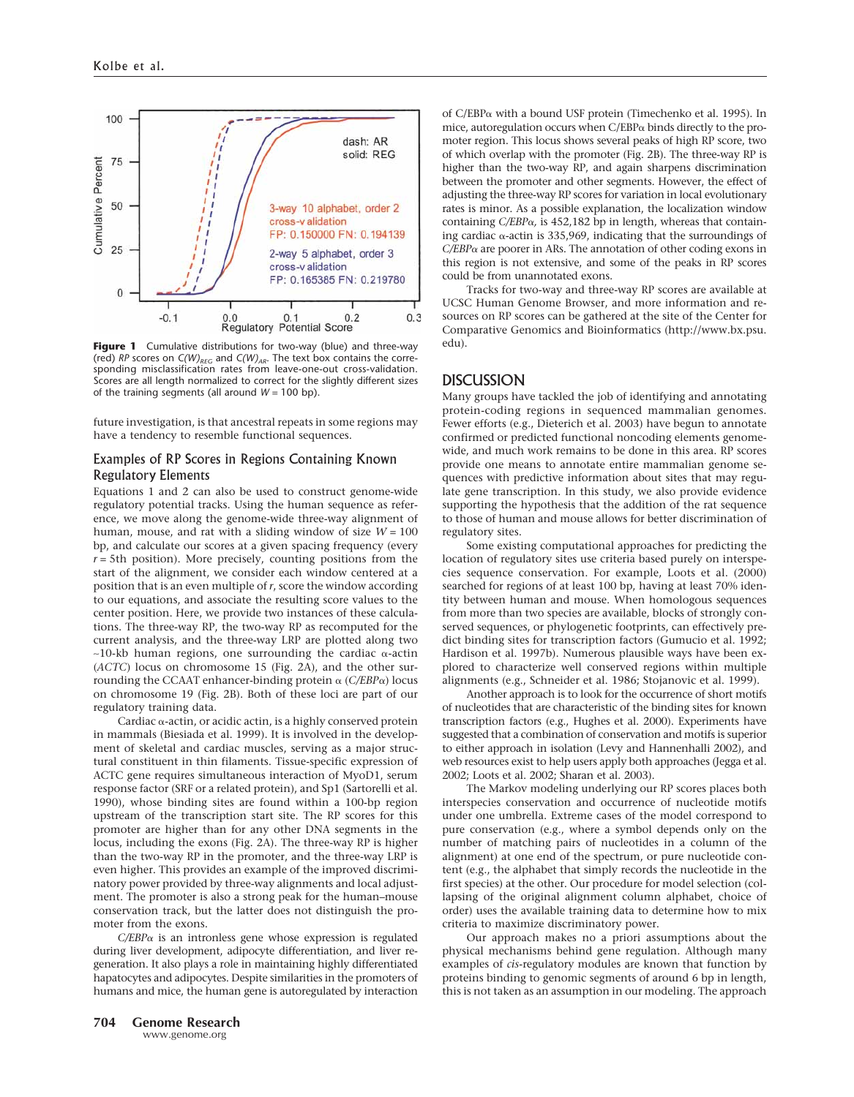

**Figure 1** Cumulative distributions for two-way (blue) and three-way (red) *RP* scores on  $C(W)_{REG}$  and  $C(W)_{AR}$ . The text box contains the corresponding misclassification rates from leave-one-out cross-validation. Scores are all length normalized to correct for the slightly different sizes of the training segments (all around  $W = 100$  bp).

future investigation, is that ancestral repeats in some regions may have a tendency to resemble functional sequences.

## Examples of RP Scores in Regions Containing Known Regulatory Elements

Equations 1 and 2 can also be used to construct genome-wide regulatory potential tracks. Using the human sequence as reference, we move along the genome-wide three-way alignment of human, mouse, and rat with a sliding window of size  $W = 100$ bp, and calculate our scores at a given spacing frequency (every  $r = 5$ th position). More precisely, counting positions from the start of the alignment, we consider each window centered at a position that is an even multiple of *r*, score the window according to our equations, and associate the resulting score values to the center position. Here, we provide two instances of these calculations. The three-way RP, the two-way RP as recomputed for the current analysis, and the three-way LRP are plotted along two  $~\sim$ 10-kb human regions, one surrounding the cardiac α-actin (*ACTC*) locus on chromosome 15 (Fig. 2A), and the other surrounding the CCAAT enhancer-binding protein  $\alpha$  (*C/EBP* $\alpha$ ) locus on chromosome 19 (Fig. 2B). Both of these loci are part of our regulatory training data.

Cardiac  $\alpha$ -actin, or acidic actin, is a highly conserved protein in mammals (Biesiada et al. 1999). It is involved in the development of skeletal and cardiac muscles, serving as a major structural constituent in thin filaments. Tissue-specific expression of ACTC gene requires simultaneous interaction of MyoD1, serum response factor (SRF or a related protein), and Sp1 (Sartorelli et al. 1990), whose binding sites are found within a 100-bp region upstream of the transcription start site. The RP scores for this promoter are higher than for any other DNA segments in the locus, including the exons (Fig. 2A). The three-way RP is higher than the two-way RP in the promoter, and the three-way LRP is even higher. This provides an example of the improved discriminatory power provided by three-way alignments and local adjustment. The promoter is also a strong peak for the human–mouse conservation track, but the latter does not distinguish the promoter from the exons.

 $C/EBP\alpha$  is an intronless gene whose expression is regulated during liver development, adipocyte differentiation, and liver regeneration. It also plays a role in maintaining highly differentiated hapatocytes and adipocytes. Despite similarities in the promoters of humans and mice, the human gene is autoregulated by interaction of C/EBP $\alpha$  with a bound USF protein (Timechenko et al. 1995). In mice, autoregulation occurs when  $C/EBP\alpha$  binds directly to the promoter region. This locus shows several peaks of high RP score, two of which overlap with the promoter (Fig. 2B). The three-way RP is higher than the two-way RP, and again sharpens discrimination between the promoter and other segments. However, the effect of adjusting the three-way RP scores for variation in local evolutionary rates is minor. As a possible explanation, the localization window containing  $C/EBP\alpha$ , is 452,182 bp in length, whereas that containing cardiac  $\alpha$ -actin is 335,969, indicating that the surroundings of  $C/EBP\alpha$  are poorer in ARs. The annotation of other coding exons in this region is not extensive, and some of the peaks in RP scores could be from unannotated exons.

Tracks for two-way and three-way RP scores are available at UCSC Human Genome Browser, and more information and resources on RP scores can be gathered at the site of the Center for Comparative Genomics and Bioinformatics (http://www.bx.psu. edu).

## **DISCUSSION**

Many groups have tackled the job of identifying and annotating protein-coding regions in sequenced mammalian genomes. Fewer efforts (e.g., Dieterich et al. 2003) have begun to annotate confirmed or predicted functional noncoding elements genomewide, and much work remains to be done in this area. RP scores provide one means to annotate entire mammalian genome sequences with predictive information about sites that may regulate gene transcription. In this study, we also provide evidence supporting the hypothesis that the addition of the rat sequence to those of human and mouse allows for better discrimination of regulatory sites.

Some existing computational approaches for predicting the location of regulatory sites use criteria based purely on interspecies sequence conservation. For example, Loots et al. (2000) searched for regions of at least 100 bp, having at least 70% identity between human and mouse. When homologous sequences from more than two species are available, blocks of strongly conserved sequences, or phylogenetic footprints, can effectively predict binding sites for transcription factors (Gumucio et al. 1992; Hardison et al. 1997b). Numerous plausible ways have been explored to characterize well conserved regions within multiple alignments (e.g., Schneider et al. 1986; Stojanovic et al. 1999).

Another approach is to look for the occurrence of short motifs of nucleotides that are characteristic of the binding sites for known transcription factors (e.g., Hughes et al. 2000). Experiments have suggested that a combination of conservation and motifs is superior to either approach in isolation (Levy and Hannenhalli 2002), and web resources exist to help users apply both approaches (Jegga et al. 2002; Loots et al. 2002; Sharan et al. 2003).

The Markov modeling underlying our RP scores places both interspecies conservation and occurrence of nucleotide motifs under one umbrella. Extreme cases of the model correspond to pure conservation (e.g., where a symbol depends only on the number of matching pairs of nucleotides in a column of the alignment) at one end of the spectrum, or pure nucleotide content (e.g., the alphabet that simply records the nucleotide in the first species) at the other. Our procedure for model selection (collapsing of the original alignment column alphabet, choice of order) uses the available training data to determine how to mix criteria to maximize discriminatory power.

Our approach makes no a priori assumptions about the physical mechanisms behind gene regulation. Although many examples of *cis*-regulatory modules are known that function by proteins binding to genomic segments of around 6 bp in length, this is not taken as an assumption in our modeling. The approach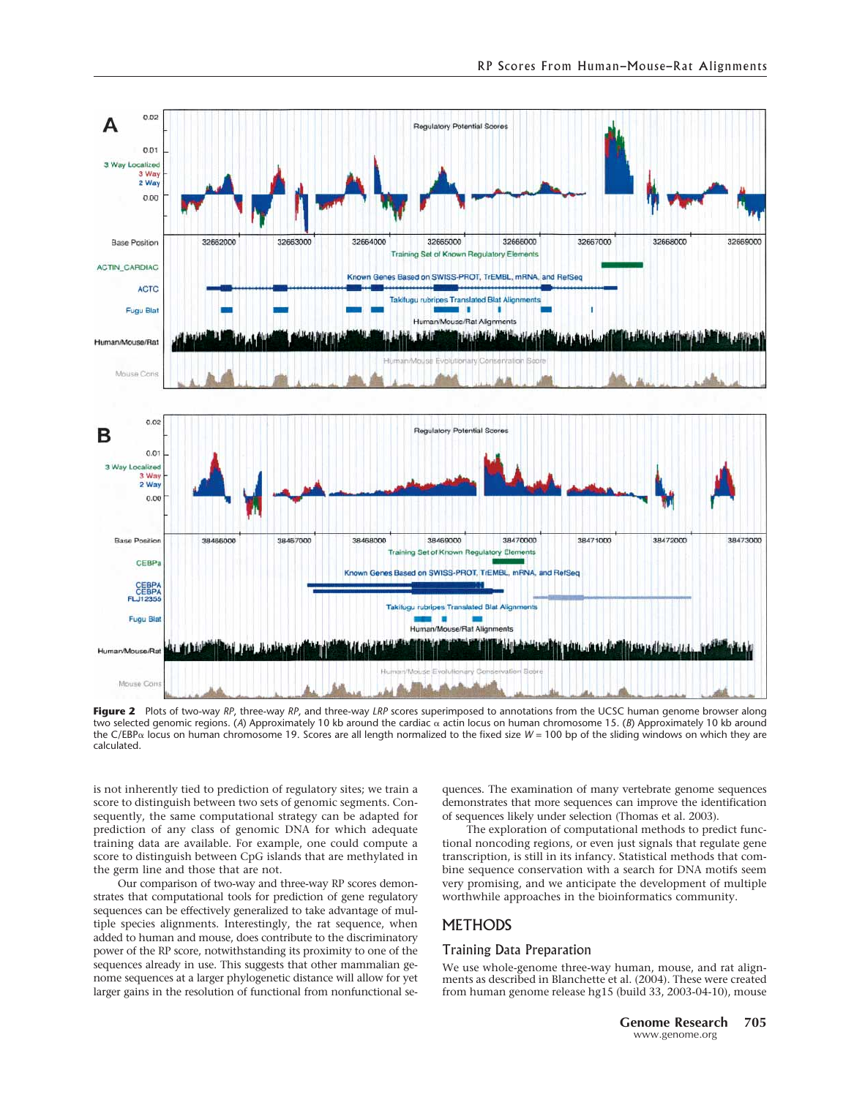

**Figure 2** Plots of two-way *RP*, three-way *RP*, and three-way *LRP* scores superimposed to annotations from the UCSC human genome browser along two selected genomic regions. (*A*) Approximately 10 kb around the cardiac actin locus on human chromosome 15. (*B*) Approximately 10 kb around the C/EBPα locus on human chromosome 19. Scores are all length normalized to the fixed size *W* = 100 bp of the sliding windows on which they are calculated.

is not inherently tied to prediction of regulatory sites; we train a score to distinguish between two sets of genomic segments. Consequently, the same computational strategy can be adapted for prediction of any class of genomic DNA for which adequate training data are available. For example, one could compute a score to distinguish between CpG islands that are methylated in the germ line and those that are not.

Our comparison of two-way and three-way RP scores demonstrates that computational tools for prediction of gene regulatory sequences can be effectively generalized to take advantage of multiple species alignments. Interestingly, the rat sequence, when added to human and mouse, does contribute to the discriminatory power of the RP score, notwithstanding its proximity to one of the sequences already in use. This suggests that other mammalian genome sequences at a larger phylogenetic distance will allow for yet larger gains in the resolution of functional from nonfunctional sequences. The examination of many vertebrate genome sequences demonstrates that more sequences can improve the identification of sequences likely under selection (Thomas et al. 2003).

The exploration of computational methods to predict functional noncoding regions, or even just signals that regulate gene transcription, is still in its infancy. Statistical methods that combine sequence conservation with a search for DNA motifs seem very promising, and we anticipate the development of multiple worthwhile approaches in the bioinformatics community.

# **METHODS**

## Training Data Preparation

We use whole-genome three-way human, mouse, and rat alignments as described in Blanchette et al. (2004). These were created from human genome release hg15 (build 33, 2003-04-10), mouse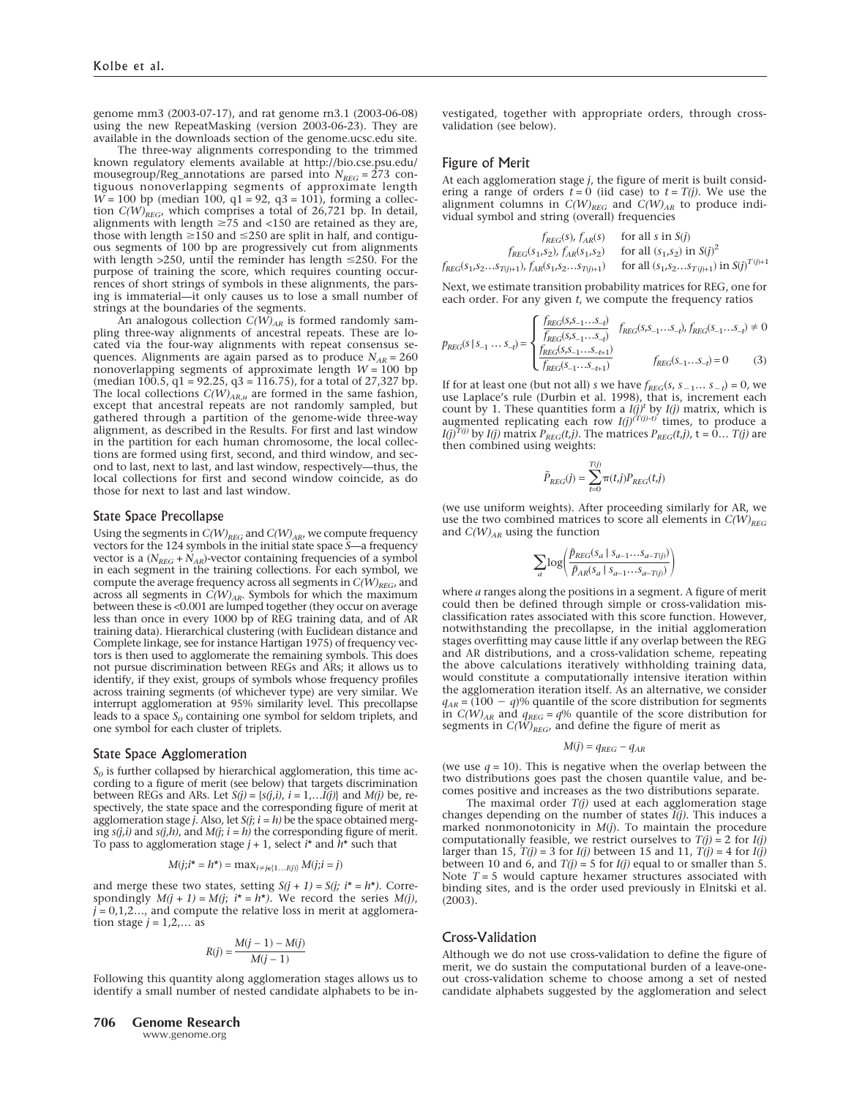genome mm3 (2003-07-17), and rat genome rn3.1 (2003-06-08) using the new RepeatMasking (version 2003-06-23). They are available in the downloads section of the genome.ucsc.edu site.

The three-way alignments corresponding to the trimmed known regulatory elements available at http://bio.cse.psu.edu/ mousegroup/Reg\_annotations are parsed into  $N_{REG} = 273$  contiguous nonoverlapping segments of approximate length  $W = 100$  bp (median 100, q1 = 92, q3 = 101), forming a collection  $C(W)_{REG}$ , which comprises a total of 26,721 bp. In detail, alignments with length  $\geq$ 75 and <150 are retained as they are, those with length  $\geq$ 150 and  $\leq$ 250 are split in half, and contiguous segments of 100 bp are progressively cut from alignments with length  $>250$ , until the reminder has length  $\leq 250$ . For the purpose of training the score, which requires counting occurrences of short strings of symbols in these alignments, the parsing is immaterial—it only causes us to lose a small number of strings at the boundaries of the segments.

An analogous collection  $C(W)_{AR}$  is formed randomly sampling three-way alignments of ancestral repeats. These are located via the four-way alignments with repeat consensus sequences. Alignments are again parsed as to produce  $N_{AR} = 260$ nonoverlapping segments of approximate length *W* = 100 bp (median 100.5, q1 = 92.25, q3 = 116.75), for a total of 27,327 bp. The local collections  $C(W)_{AR,u}$  are formed in the same fashion, except that ancestral repeats are not randomly sampled, but gathered through a partition of the genome-wide three-way alignment, as described in the Results. For first and last window in the partition for each human chromosome, the local collections are formed using first, second, and third window, and second to last, next to last, and last window, respectively—thus, the local collections for first and second window coincide, as do those for next to last and last window.

#### State Space Precollapse

Using the segments in  $C(W)_{REG}$  and  $C(W)_{AR}$ , we compute frequency vectors for the 124 symbols in the initial state space *S*—a frequency vector is a  $(N_{REG} + N_{AR})$ -vector containing frequencies of a symbol in each segment in the training collections. For each symbol, we compute the average frequency across all segments in  $C(W)_{REG}$ , and across all segments in  $C(W)_{AR}$ . Symbols for which the maximum between these is <0.001 are lumped together (they occur on average less than once in every 1000 bp of REG training data, and of AR training data). Hierarchical clustering (with Euclidean distance and Complete linkage, see for instance Hartigan 1975) of frequency vectors is then used to agglomerate the remaining symbols. This does not pursue discrimination between REGs and ARs; it allows us to identify, if they exist, groups of symbols whose frequency profiles across training segments (of whichever type) are very similar. We interrupt agglomeration at 95% similarity level. This precollapse leads to a space  $S_0$  containing one symbol for seldom triplets, and one symbol for each cluster of triplets.

#### State Space Agglomeration

 $S<sub>0</sub>$  is further collapsed by hierarchical agglomeration, this time according to a figure of merit (see below) that targets discrimination between REGs and ARs. Let  $S(j) = \{s(j,i), i = 1,...I(j)\}\$  and  $M(j)$  be, respectively, the state space and the corresponding figure of merit at agglomeration stage *j*. Also, let  $S(i; i = h)$  be the space obtained merging *s(j,i)* and *s(j,h)*, and *M(j*; *i = h)* the corresponding figure of merit. To pass to agglomeration stage  $j + 1$ , select  $i^*$  and  $h^*$  such that

$$
M(j; i^* = h^*) = \max_{i \neq j \in \{1...I(j)\}} M(j; i = j)
$$

and merge these two states, setting  $S(j + 1) = S(j; i^* = h^*)$ . Correspondingly  $M(j + 1) = M(j; i^* = h^*)$ . We record the series  $M(j)$ , *j =* 0,1,2…, and compute the relative loss in merit at agglomeration stage  $j = 1, 2, \ldots$  as

$$
R(j) = \frac{M(j-1) - M(j)}{M(j-1)}
$$

Following this quantity along agglomeration stages allows us to identify a small number of nested candidate alphabets to be in-

www.genome.org

vestigated, together with appropriate orders, through crossvalidation (see below).

## Figure of Merit

At each agglomeration stage *j*, the figure of merit is built considering a range of orders  $t = 0$  (iid case) to  $t = T(j)$ . We use the alignment columns in *C(W)<sub>REG</sub>* and *C(W)<sub>AR</sub>* to produce indi-<br>vidual symbol and string (overall) frequencies

$$
f_{REG}(s), f_{AR}(s) \quad \text{for all } s \text{ in } S(j)
$$
\n
$$
f_{REG}(s_1, s_2), f_{AR}(s_1, s_2) \quad \text{for all } (s_1, s_2) \text{ in } S(j)^2
$$
\n
$$
f_{REG}(s_1, s_2...s_{T(j)+1}), f_{AR}(s_1, s_2...s_{T(j)+1}) \quad \text{for all } (s_1, s_2...s_{T(j)+1}) \text{ in } S(j)^{T(j)+1}
$$

Next, we estimate transition probability matrices for REG, one for each order. For any given *t*, we compute the frequency ratios

$$
p_{REG}(s \mid s_{-1} \dots s_{-t}) = \begin{cases} \frac{f_{REG}(s, s_{-1} \dots s_{-t})}{f_{REG}(s, s_{-1} \dots s_{-t})} & f_{REG}(s, s_{-1} \dots s_{-t}), f_{REG}(s_{-1} \dots s_{-t}) \neq 0\\ \frac{f_{REG}(s, s_{-1} \dots s_{-t+1})}{f_{REG}(s_{-1} \dots s_{-t+1})} & f_{REG}(s_{-1} \dots s_{-t}) = 0 \end{cases} \tag{3}
$$

If for at least one (but not all) *s* we have  $f_{REG}(s, s_{-1}... s_{-t}) = 0$ , we use Laplace's rule (Durbin et al. 1998), that is, increment each count by 1. These quantities form a  $I(j)^t$  by  $I(j)$  matrix, which is augmented replicating each row *I(j)(T(j)-t)* times, to produce a *I(j)*<sup>*T(i)*</sup> by *I(j)* matrix  $P_{REG}(t,j)$ . The matrices  $P_{REG}(t,j)$ ,  $t = 0...$  *T(j)* are then combined using weights:

$$
\tilde{P}_{REG}(j) = \sum_{t=0}^{T(j)} \pi(t,j) P_{REG}(t,j)
$$

(we use uniform weights). After proceeding similarly for AR, we use the two combined matrices to score all elements in  $C(W)_{REG}$ and  $C(W)_{AR}$  using the function

$$
\sum_{a} \log \left( \frac{\tilde{p}_{REG}(s_a \mid s_{a-1} \dots s_{a-T(j)})}{\tilde{p}_{AR}(s_a \mid s_{a-1} \dots s_{a-T(j)})} \right)
$$

where *a* ranges along the positions in a segment. A figure of merit could then be defined through simple or cross-validation misclassification rates associated with this score function. However, notwithstanding the precollapse, in the initial agglomeration stages overfitting may cause little if any overlap between the REG and AR distributions, and a cross-validation scheme, repeating the above calculations iteratively withholding training data, would constitute a computationally intensive iteration within the agglomeration iteration itself. As an alternative, we consider  $q_{AR}$  = (100 -  $q$ )% quantile of the score distribution for segments in  $C(W)_{AR}$  and  $q_{REG} = q\%$  quantile of the score distribution for segments in  $C(W)_{REG}$ , and define the figure of merit as

$$
M(j) = q_{REG} - q_{AR}
$$

(we use  $q = 10$ ). This is negative when the overlap between the two distributions goes past the chosen quantile value, and becomes positive and increases as the two distributions separate.

The maximal order *T(j)* used at each agglomeration stage changes depending on the number of states *I(j)*. This induces a marked nonmonotonicity in *M*(*j*). To maintain the procedure computationally feasible, we restrict ourselves to  $T(j) = 2$  for  $I(j)$ larger than 15, *T(j)* = 3 for *I(j)* between 15 and 11, *T(j)* = 4 for *I(j)* between 10 and 6, and  $T(j) = 5$  for  $I(j)$  equal to or smaller than 5. Note  $T = 5$  would capture hexamer structures associated with binding sites, and is the order used previously in Elnitski et al. (2003).

#### Cross-Validation

Although we do not use cross-validation to define the figure of merit, we do sustain the computational burden of a leave-oneout cross-validation scheme to choose among a set of nested candidate alphabets suggested by the agglomeration and select